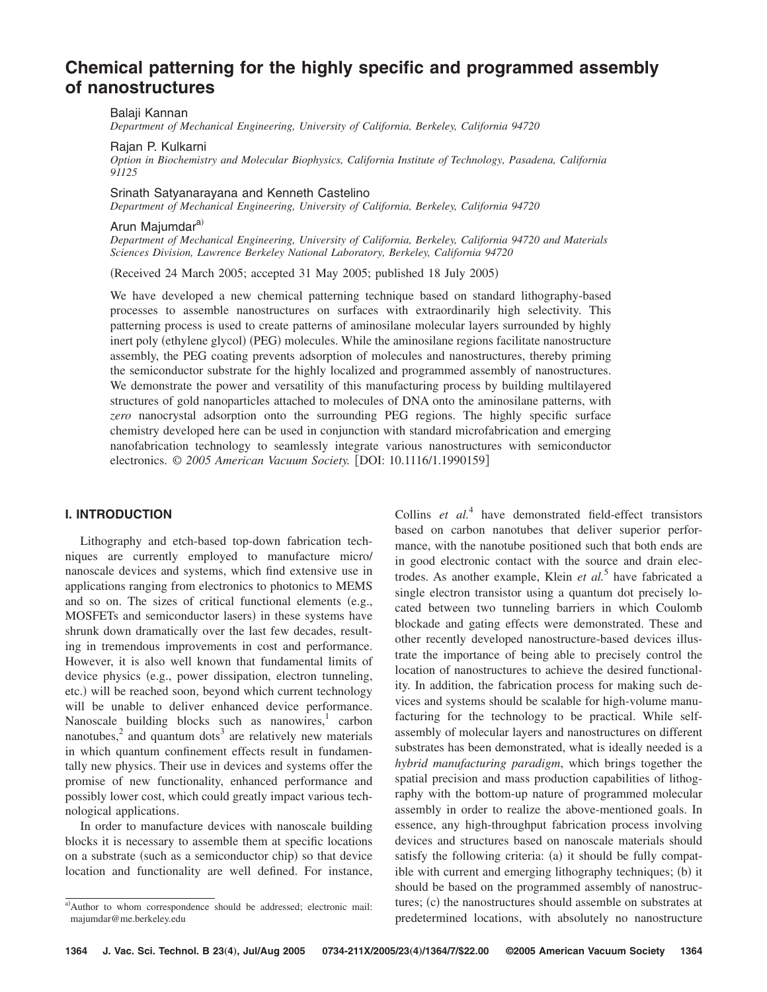# **Chemical patterning for the highly specific and programmed assembly of nanostructures**

Balaji Kannan

*Department of Mechanical Engineering, University of California, Berkeley, California 94720*

#### Rajan P. Kulkarni

*Option in Biochemistry and Molecular Biophysics, California Institute of Technology, Pasadena, California 91125*

#### Srinath Satyanarayana and Kenneth Castelino

*Department of Mechanical Engineering, University of California, Berkeley, California 94720*

# Arun Majumdar<sup>a)</sup>

*Department of Mechanical Engineering, University of California, Berkeley, California 94720 and Materials Sciences Division, Lawrence Berkeley National Laboratory, Berkeley, California 94720*

(Received 24 March 2005; accepted 31 May 2005; published 18 July 2005)

We have developed a new chemical patterning technique based on standard lithography-based processes to assemble nanostructures on surfaces with extraordinarily high selectivity. This patterning process is used to create patterns of aminosilane molecular layers surrounded by highly inert poly (ethylene glycol) (PEG) molecules. While the aminosilane regions facilitate nanostructure assembly, the PEG coating prevents adsorption of molecules and nanostructures, thereby priming the semiconductor substrate for the highly localized and programmed assembly of nanostructures. We demonstrate the power and versatility of this manufacturing process by building multilayered structures of gold nanoparticles attached to molecules of DNA onto the aminosilane patterns, with *zero* nanocrystal adsorption onto the surrounding PEG regions. The highly specific surface chemistry developed here can be used in conjunction with standard microfabrication and emerging nanofabrication technology to seamlessly integrate various nanostructures with semiconductor electronics. © 2005 American Vacuum Society. [DOI: 10.1116/1.1990159]

### **I. INTRODUCTION**

Lithography and etch-based top-down fabrication techniques are currently employed to manufacture micro/ nanoscale devices and systems, which find extensive use in applications ranging from electronics to photonics to MEMS and so on. The sizes of critical functional elements (e.g., MOSFETs and semiconductor lasers) in these systems have shrunk down dramatically over the last few decades, resulting in tremendous improvements in cost and performance. However, it is also well known that fundamental limits of device physics (e.g., power dissipation, electron tunneling, etc.) will be reached soon, beyond which current technology will be unable to deliver enhanced device performance. Nanoscale building blocks such as nanowires, $<sup>1</sup>$  carbon</sup> nanotubes, $\lambda^2$  and quantum dots<sup>3</sup> are relatively new materials in which quantum confinement effects result in fundamentally new physics. Their use in devices and systems offer the promise of new functionality, enhanced performance and possibly lower cost, which could greatly impact various technological applications.

In order to manufacture devices with nanoscale building blocks it is necessary to assemble them at specific locations on a substrate (such as a semiconductor chip) so that device location and functionality are well defined. For instance,

Collins *et al.*<sup>4</sup> have demonstrated field-effect transistors based on carbon nanotubes that deliver superior performance, with the nanotube positioned such that both ends are in good electronic contact with the source and drain electrodes. As another example, Klein *et al.*<sup>5</sup> have fabricated a single electron transistor using a quantum dot precisely located between two tunneling barriers in which Coulomb blockade and gating effects were demonstrated. These and other recently developed nanostructure-based devices illustrate the importance of being able to precisely control the location of nanostructures to achieve the desired functionality. In addition, the fabrication process for making such devices and systems should be scalable for high-volume manufacturing for the technology to be practical. While selfassembly of molecular layers and nanostructures on different substrates has been demonstrated, what is ideally needed is a *hybrid manufacturing paradigm*, which brings together the spatial precision and mass production capabilities of lithography with the bottom-up nature of programmed molecular assembly in order to realize the above-mentioned goals. In essence, any high-throughput fabrication process involving devices and structures based on nanoscale materials should satisfy the following criteria: (a) it should be fully compatible with current and emerging lithography techniques; (b) it should be based on the programmed assembly of nanostructures; (c) the nanostructures should assemble on substrates at predetermined locations, with absolutely no nanostructure

a) Author to whom correspondence should be addressed; electronic mail: majumdar@me.berkeley.edu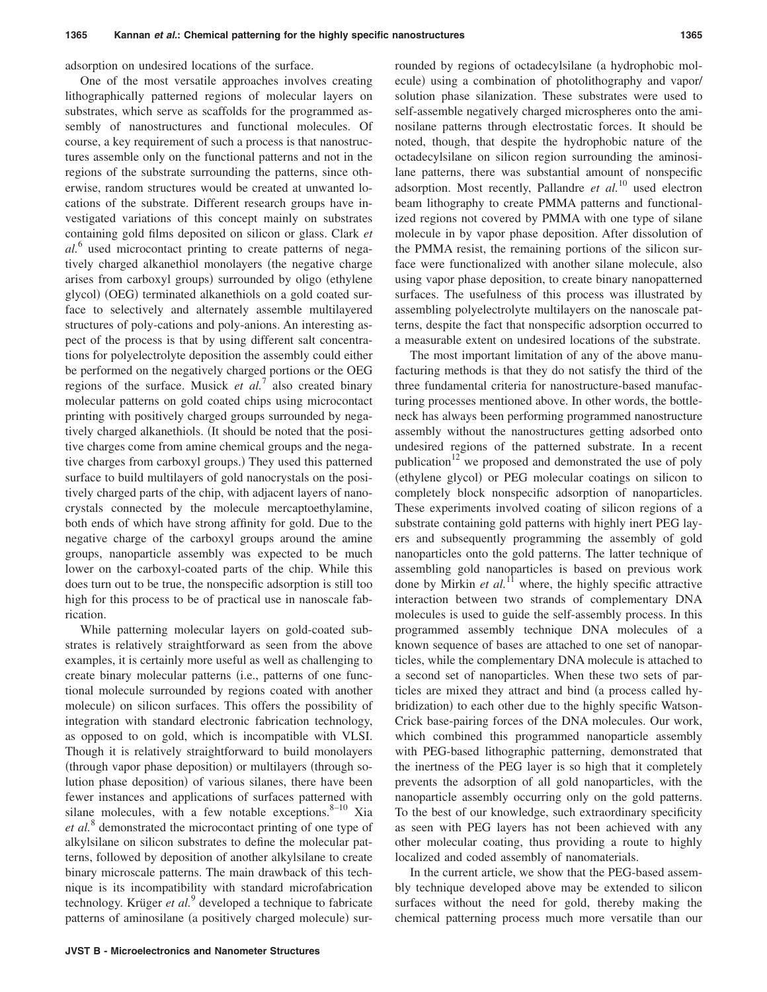adsorption on undesired locations of the surface.

One of the most versatile approaches involves creating lithographically patterned regions of molecular layers on substrates, which serve as scaffolds for the programmed assembly of nanostructures and functional molecules. Of course, a key requirement of such a process is that nanostructures assemble only on the functional patterns and not in the regions of the substrate surrounding the patterns, since otherwise, random structures would be created at unwanted locations of the substrate. Different research groups have investigated variations of this concept mainly on substrates containing gold films deposited on silicon or glass. Clark *et al.*<sup>6</sup> used microcontact printing to create patterns of negatively charged alkanethiol monolayers (the negative charge arises from carboxyl groups) surrounded by oligo (ethylene glycol) (OEG) terminated alkanethiols on a gold coated surface to selectively and alternately assemble multilayered structures of poly-cations and poly-anions. An interesting aspect of the process is that by using different salt concentrations for polyelectrolyte deposition the assembly could either be performed on the negatively charged portions or the OEG regions of the surface. Musick *et al.*<sup>7</sup> also created binary molecular patterns on gold coated chips using microcontact printing with positively charged groups surrounded by negatively charged alkanethiols. It should be noted that the positive charges come from amine chemical groups and the negative charges from carboxyl groups.) They used this patterned surface to build multilayers of gold nanocrystals on the positively charged parts of the chip, with adjacent layers of nanocrystals connected by the molecule mercaptoethylamine, both ends of which have strong affinity for gold. Due to the negative charge of the carboxyl groups around the amine groups, nanoparticle assembly was expected to be much lower on the carboxyl-coated parts of the chip. While this does turn out to be true, the nonspecific adsorption is still too high for this process to be of practical use in nanoscale fabrication.

While patterning molecular layers on gold-coated substrates is relatively straightforward as seen from the above examples, it is certainly more useful as well as challenging to create binary molecular patterns (i.e., patterns of one functional molecule surrounded by regions coated with another molecule) on silicon surfaces. This offers the possibility of integration with standard electronic fabrication technology, as opposed to on gold, which is incompatible with VLSI. Though it is relatively straightforward to build monolayers (through vapor phase deposition) or multilayers (through solution phase deposition) of various silanes, there have been fewer instances and applications of surfaces patterned with silane molecules, with a few notable exceptions.  $8-10$  Xia *et al.*<sup>8</sup> demonstrated the microcontact printing of one type of alkylsilane on silicon substrates to define the molecular patterns, followed by deposition of another alkylsilane to create binary microscale patterns. The main drawback of this technique is its incompatibility with standard microfabrication technology. Krüger *et al.*<sup>9</sup> developed a technique to fabricate patterns of aminosilane (a positively charged molecule) sur-

localized and coded assembly of nanomaterials. In the current article, we show that the PEG-based assembly technique developed above may be extended to silicon surfaces without the need for gold, thereby making the chemical patterning process much more versatile than our

rounded by regions of octadecylsilane (a hydrophobic molecule) using a combination of photolithography and vapor/ solution phase silanization. These substrates were used to self-assemble negatively charged microspheres onto the aminosilane patterns through electrostatic forces. It should be noted, though, that despite the hydrophobic nature of the octadecylsilane on silicon region surrounding the aminosilane patterns, there was substantial amount of nonspecific adsorption. Most recently, Pallandre *et al.*<sup>10</sup> used electron beam lithography to create PMMA patterns and functionalized regions not covered by PMMA with one type of silane molecule in by vapor phase deposition. After dissolution of the PMMA resist, the remaining portions of the silicon surface were functionalized with another silane molecule, also using vapor phase deposition, to create binary nanopatterned surfaces. The usefulness of this process was illustrated by assembling polyelectrolyte multilayers on the nanoscale patterns, despite the fact that nonspecific adsorption occurred to a measurable extent on undesired locations of the substrate.

The most important limitation of any of the above manufacturing methods is that they do not satisfy the third of the three fundamental criteria for nanostructure-based manufacturing processes mentioned above. In other words, the bottleneck has always been performing programmed nanostructure assembly without the nanostructures getting adsorbed onto undesired regions of the patterned substrate. In a recent publication<sup>12</sup> we proposed and demonstrated the use of poly (ethylene glycol) or PEG molecular coatings on silicon to completely block nonspecific adsorption of nanoparticles. These experiments involved coating of silicon regions of a substrate containing gold patterns with highly inert PEG layers and subsequently programming the assembly of gold nanoparticles onto the gold patterns. The latter technique of assembling gold nanoparticles is based on previous work done by Mirkin *et al.*<sup>11</sup> where, the highly specific attractive interaction between two strands of complementary DNA molecules is used to guide the self-assembly process. In this programmed assembly technique DNA molecules of a known sequence of bases are attached to one set of nanoparticles, while the complementary DNA molecule is attached to a second set of nanoparticles. When these two sets of particles are mixed they attract and bind (a process called hybridization) to each other due to the highly specific Watson-Crick base-pairing forces of the DNA molecules. Our work, which combined this programmed nanoparticle assembly with PEG-based lithographic patterning, demonstrated that the inertness of the PEG layer is so high that it completely prevents the adsorption of all gold nanoparticles, with the nanoparticle assembly occurring only on the gold patterns. To the best of our knowledge, such extraordinary specificity as seen with PEG layers has not been achieved with any other molecular coating, thus providing a route to highly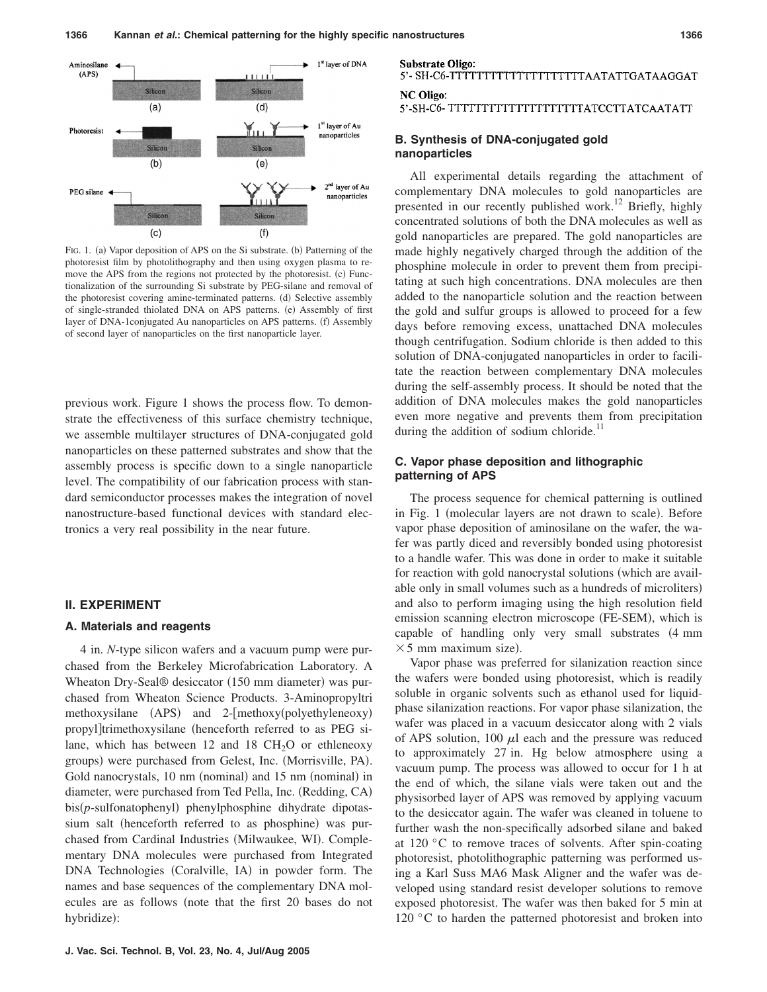

FIG. 1. (a) Vapor deposition of APS on the Si substrate. (b) Patterning of the photoresist film by photolithography and then using oxygen plasma to remove the APS from the regions not protected by the photoresist. (c) Functionalization of the surrounding Si substrate by PEG-silane and removal of the photoresist covering amine-terminated patterns. (d) Selective assembly of single-stranded thiolated DNA on APS patterns. (e) Assembly of first layer of DNA-1conjugated Au nanoparticles on APS patterns. (f) Assembly of second layer of nanoparticles on the first nanoparticle layer.

previous work. Figure 1 shows the process flow. To demonstrate the effectiveness of this surface chemistry technique, we assemble multilayer structures of DNA-conjugated gold nanoparticles on these patterned substrates and show that the assembly process is specific down to a single nanoparticle level. The compatibility of our fabrication process with standard semiconductor processes makes the integration of novel nanostructure-based functional devices with standard electronics a very real possibility in the near future.

### **II. EXPERIMENT**

#### **A. Materials and reagents**

4 in. *N*-type silicon wafers and a vacuum pump were purchased from the Berkeley Microfabrication Laboratory. A Wheaton Dry-Seal® desiccator (150 mm diameter) was purchased from Wheaton Science Products. 3-Aminopropyltri methoxysilane (APS) and 2-[methoxy(polyethyleneoxy) propyl]trimethoxysilane (henceforth referred to as PEG silane, which has between 12 and 18  $CH<sub>2</sub>O$  or ethleneoxy groups) were purchased from Gelest, Inc. (Morrisville, PA). Gold nanocrystals, 10 nm (nominal) and 15 nm (nominal) in diameter, were purchased from Ted Pella, Inc. (Redding, CA) bis(p-sulfonatophenyl) phenylphosphine dihydrate dipotassium salt (henceforth referred to as phosphine) was purchased from Cardinal Industries (Milwaukee, WI). Complementary DNA molecules were purchased from Integrated DNA Technologies (Coralville, IA) in powder form. The names and base sequences of the complementary DNA molecules are as follows (note that the first 20 bases do not hybridize):

**Substrate Oligo:** 

# 5'- SH-C6-TTTTTTTTTTTTTTTTTTTTTAATATTGATAAGGAT

**NC Oligo:** 

5'-SH-C6-TTTTTTTTTTTTTTTTTTTTTTTATCCTTATCAATATT

## **B. Synthesis of DNA-conjugated gold nanoparticles**

All experimental details regarding the attachment of complementary DNA molecules to gold nanoparticles are presented in our recently published work.<sup>12</sup> Briefly, highly concentrated solutions of both the DNA molecules as well as gold nanoparticles are prepared. The gold nanoparticles are made highly negatively charged through the addition of the phosphine molecule in order to prevent them from precipitating at such high concentrations. DNA molecules are then added to the nanoparticle solution and the reaction between the gold and sulfur groups is allowed to proceed for a few days before removing excess, unattached DNA molecules though centrifugation. Sodium chloride is then added to this solution of DNA-conjugated nanoparticles in order to facilitate the reaction between complementary DNA molecules during the self-assembly process. It should be noted that the addition of DNA molecules makes the gold nanoparticles even more negative and prevents them from precipitation during the addition of sodium chloride. $<sup>11</sup>$ </sup>

## **C. Vapor phase deposition and lithographic patterning of APS**

The process sequence for chemical patterning is outlined in Fig. 1 (molecular layers are not drawn to scale). Before vapor phase deposition of aminosilane on the wafer, the wafer was partly diced and reversibly bonded using photoresist to a handle wafer. This was done in order to make it suitable for reaction with gold nanocrystal solutions (which are available only in small volumes such as a hundreds of microliters) and also to perform imaging using the high resolution field emission scanning electron microscope (FE-SEM), which is capable of handling only very small substrates (4 mm  $\times$  5 mm maximum size).

Vapor phase was preferred for silanization reaction since the wafers were bonded using photoresist, which is readily soluble in organic solvents such as ethanol used for liquidphase silanization reactions. For vapor phase silanization, the wafer was placed in a vacuum desiccator along with 2 vials of APS solution, 100  $\mu$ l each and the pressure was reduced to approximately 27 in. Hg below atmosphere using a vacuum pump. The process was allowed to occur for 1 h at the end of which, the silane vials were taken out and the physisorbed layer of APS was removed by applying vacuum to the desiccator again. The wafer was cleaned in toluene to further wash the non-specifically adsorbed silane and baked at 120 °C to remove traces of solvents. After spin-coating photoresist, photolithographic patterning was performed using a Karl Suss MA6 Mask Aligner and the wafer was developed using standard resist developer solutions to remove exposed photoresist. The wafer was then baked for 5 min at 120 °C to harden the patterned photoresist and broken into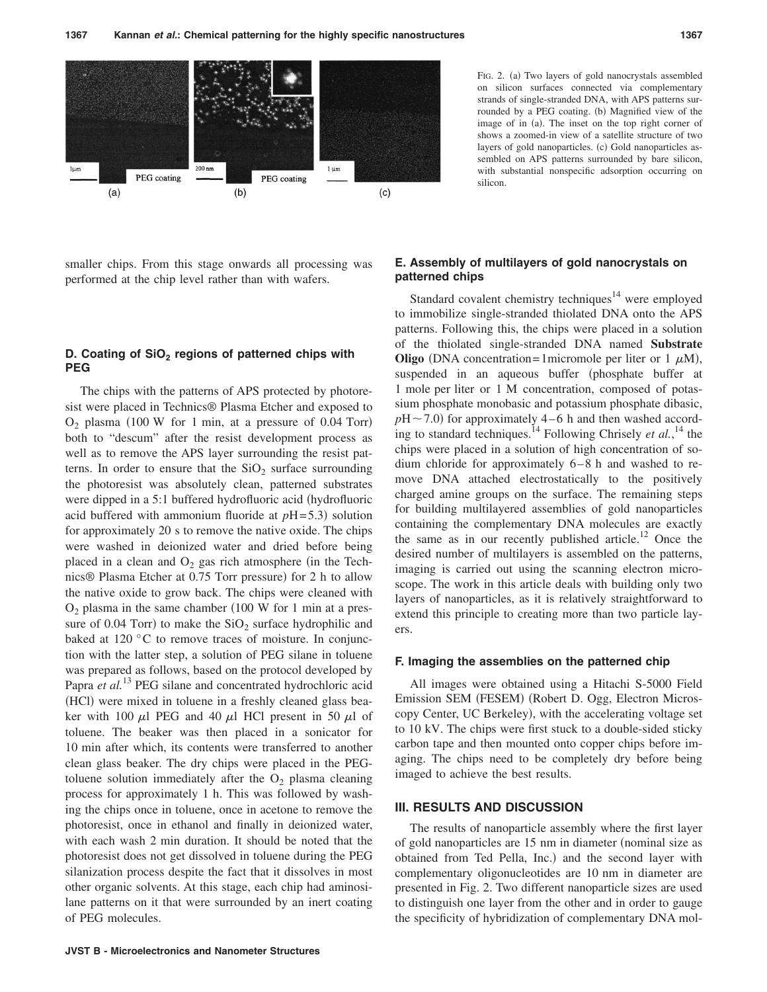

smaller chips. From this stage onwards all processing was performed at the chip level rather than with wafers.

# **D. Coating of SiO<sub>2</sub> regions of patterned chips with PEG**

The chips with the patterns of APS protected by photoresist were placed in Technics® Plasma Etcher and exposed to  $O_2$  plasma (100 W for 1 min, at a pressure of 0.04 Torr) both to "descum" after the resist development process as well as to remove the APS layer surrounding the resist patterns. In order to ensure that the  $SiO<sub>2</sub>$  surface surrounding the photoresist was absolutely clean, patterned substrates were dipped in a 5:1 buffered hydrofluoric acid (hydrofluoric acid buffered with ammonium fluoride at  $pH = 5.3$ ) solution for approximately 20 s to remove the native oxide. The chips were washed in deionized water and dried before being placed in a clean and  $O_2$  gas rich atmosphere (in the Technics® Plasma Etcher at 0.75 Torr pressure) for 2 h to allow the native oxide to grow back. The chips were cleaned with  $O<sub>2</sub>$  plasma in the same chamber (100 W for 1 min at a pressure of 0.04 Torr) to make the  $SiO<sub>2</sub>$  surface hydrophilic and baked at 120 °C to remove traces of moisture. In conjunction with the latter step, a solution of PEG silane in toluene was prepared as follows, based on the protocol developed by Papra *et al.*<sup>13</sup> PEG silane and concentrated hydrochloric acid (HCl) were mixed in toluene in a freshly cleaned glass beaker with 100  $\mu$ l PEG and 40  $\mu$ l HCl present in 50  $\mu$ l of toluene. The beaker was then placed in a sonicator for 10 min after which, its contents were transferred to another clean glass beaker. The dry chips were placed in the PEGtoluene solution immediately after the  $O_2$  plasma cleaning process for approximately 1 h. This was followed by washing the chips once in toluene, once in acetone to remove the photoresist, once in ethanol and finally in deionized water, with each wash 2 min duration. It should be noted that the photoresist does not get dissolved in toluene during the PEG silanization process despite the fact that it dissolves in most other organic solvents. At this stage, each chip had aminosilane patterns on it that were surrounded by an inert coating of PEG molecules.

# **E. Assembly of multilayers of gold nanocrystals on patterned chips**

silicon.

FIG. 2. (a) Two layers of gold nanocrystals assembled on silicon surfaces connected via complementary strands of single-stranded DNA, with APS patterns surrounded by a PEG coating. (b) Magnified view of the image of in (a). The inset on the top right corner of shows a zoomed-in view of a satellite structure of two layers of gold nanoparticles. (c) Gold nanoparticles assembled on APS patterns surrounded by bare silicon, with substantial nonspecific adsorption occurring on

Standard covalent chemistry techniques<sup>14</sup> were employed to immobilize single-stranded thiolated DNA onto the APS patterns. Following this, the chips were placed in a solution of the thiolated single-stranded DNA named **Substrate Oligo** (DNA concentration=1micromole per liter or 1  $\mu$ M), suspended in an aqueous buffer (phosphate buffer at 1 mole per liter or 1 M concentration, composed of potassium phosphate monobasic and potassium phosphate dibasic,  $pH \sim 7.0$ ) for approximately 4–6 h and then washed according to standard techniques.14 Following Chrisely *et al.*, <sup>14</sup> the chips were placed in a solution of high concentration of sodium chloride for approximately  $6-8$  h and washed to remove DNA attached electrostatically to the positively charged amine groups on the surface. The remaining steps for building multilayered assemblies of gold nanoparticles containing the complementary DNA molecules are exactly the same as in our recently published article.<sup>12</sup> Once the desired number of multilayers is assembled on the patterns, imaging is carried out using the scanning electron microscope. The work in this article deals with building only two layers of nanoparticles, as it is relatively straightforward to extend this principle to creating more than two particle layers.

#### **F. Imaging the assemblies on the patterned chip**

All images were obtained using a Hitachi S-5000 Field Emission SEM (FESEM) (Robert D. Ogg, Electron Microscopy Center, UC Berkeley), with the accelerating voltage set to 10 kV. The chips were first stuck to a double-sided sticky carbon tape and then mounted onto copper chips before imaging. The chips need to be completely dry before being imaged to achieve the best results.

#### **III. RESULTS AND DISCUSSION**

The results of nanoparticle assembly where the first layer of gold nanoparticles are 15 nm in diameter (nominal size as obtained from Ted Pella, Inc.) and the second layer with complementary oligonucleotides are 10 nm in diameter are presented in Fig. 2. Two different nanoparticle sizes are used to distinguish one layer from the other and in order to gauge the specificity of hybridization of complementary DNA mol-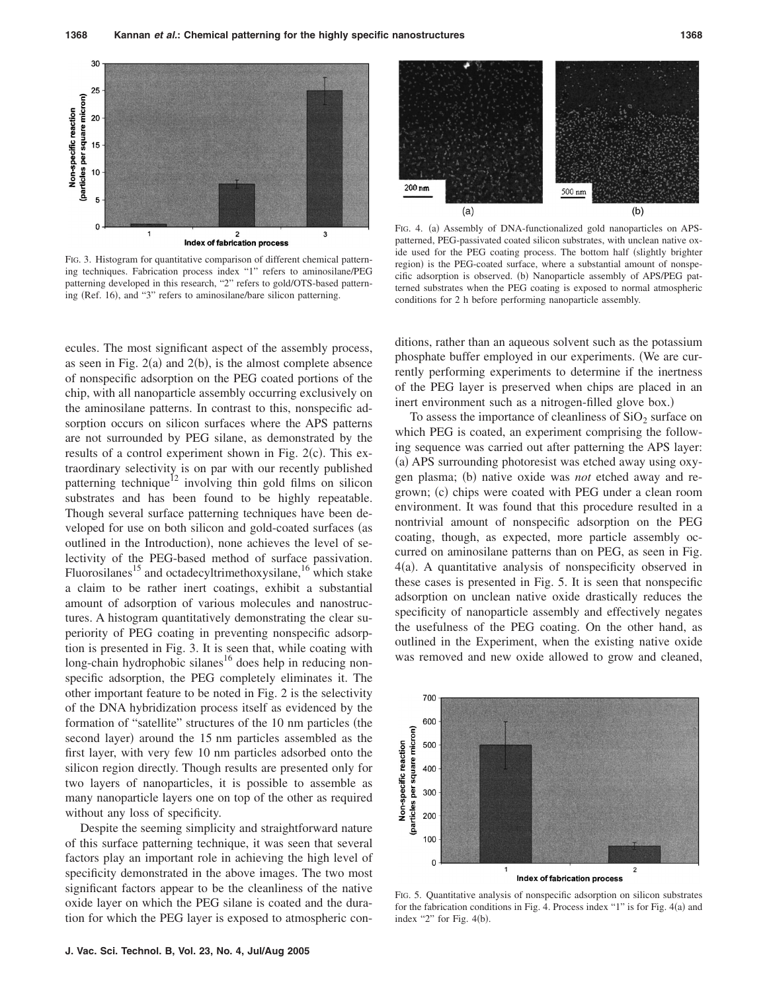

FIG. 3. Histogram for quantitative comparison of different chemical patterning techniques. Fabrication process index "1" refers to aminosilane/PEG patterning developed in this research, "2" refers to gold/OTS-based patterning (Ref. 16), and "3" refers to aminosilane/bare silicon patterning.



FIG. 4. (a) Assembly of DNA-functionalized gold nanoparticles on APSpatterned, PEG-passivated coated silicon substrates, with unclean native oxide used for the PEG coating process. The bottom half (slightly brighter region) is the PEG-coated surface, where a substantial amount of nonspecific adsorption is observed. (b) Nanoparticle assembly of APS/PEG patterned substrates when the PEG coating is exposed to normal atmospheric conditions for 2 h before performing nanoparticle assembly.

ecules. The most significant aspect of the assembly process, as seen in Fig.  $2(a)$  and  $2(b)$ , is the almost complete absence of nonspecific adsorption on the PEG coated portions of the chip, with all nanoparticle assembly occurring exclusively on the aminosilane patterns. In contrast to this, nonspecific adsorption occurs on silicon surfaces where the APS patterns are not surrounded by PEG silane, as demonstrated by the results of a control experiment shown in Fig.  $2(c)$ . This extraordinary selectivity is on par with our recently published patterning technique<sup> $12$ </sup> involving thin gold films on silicon substrates and has been found to be highly repeatable. Though several surface patterning techniques have been developed for use on both silicon and gold-coated surfaces (as outlined in the Introduction), none achieves the level of selectivity of the PEG-based method of surface passivation. Fluorosilanes<sup>15</sup> and octadecyltrimethoxysilane,<sup>16</sup> which stake a claim to be rather inert coatings, exhibit a substantial amount of adsorption of various molecules and nanostructures. A histogram quantitatively demonstrating the clear superiority of PEG coating in preventing nonspecific adsorption is presented in Fig. 3. It is seen that, while coating with  $long$ -chain hydrophobic silanes<sup>16</sup> does help in reducing nonspecific adsorption, the PEG completely eliminates it. The other important feature to be noted in Fig. 2 is the selectivity of the DNA hybridization process itself as evidenced by the formation of "satellite" structures of the 10 nm particles (the second layer) around the 15 nm particles assembled as the first layer, with very few 10 nm particles adsorbed onto the silicon region directly. Though results are presented only for two layers of nanoparticles, it is possible to assemble as many nanoparticle layers one on top of the other as required without any loss of specificity.

Despite the seeming simplicity and straightforward nature of this surface patterning technique, it was seen that several factors play an important role in achieving the high level of specificity demonstrated in the above images. The two most significant factors appear to be the cleanliness of the native oxide layer on which the PEG silane is coated and the duration for which the PEG layer is exposed to atmospheric conditions, rather than an aqueous solvent such as the potassium phosphate buffer employed in our experiments. We are currently performing experiments to determine if the inertness of the PEG layer is preserved when chips are placed in an inert environment such as a nitrogen-filled glove box.)

To assess the importance of cleanliness of  $SiO<sub>2</sub>$  surface on which PEG is coated, an experiment comprising the following sequence was carried out after patterning the APS layer: (a) APS surrounding photoresist was etched away using oxygen plasma; (b) native oxide was *not* etched away and regrown; (c) chips were coated with PEG under a clean room environment. It was found that this procedure resulted in a nontrivial amount of nonspecific adsorption on the PEG coating, though, as expected, more particle assembly occurred on aminosilane patterns than on PEG, as seen in Fig. 4(a). A quantitative analysis of nonspecificity observed in these cases is presented in Fig. 5. It is seen that nonspecific adsorption on unclean native oxide drastically reduces the specificity of nanoparticle assembly and effectively negates the usefulness of the PEG coating. On the other hand, as outlined in the Experiment, when the existing native oxide was removed and new oxide allowed to grow and cleaned,



FIG. 5. Quantitative analysis of nonspecific adsorption on silicon substrates for the fabrication conditions in Fig. 4. Process index "1" is for Fig. 4(a) and index "2" for Fig.  $4(b)$ .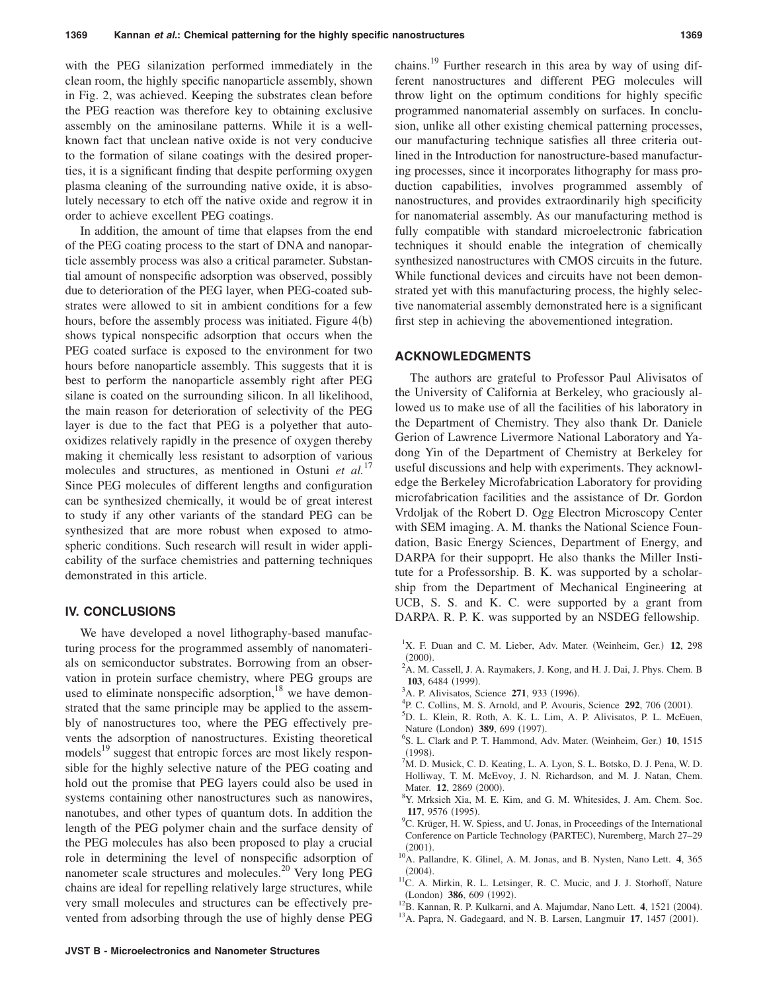with the PEG silanization performed immediately in the clean room, the highly specific nanoparticle assembly, shown in Fig. 2, was achieved. Keeping the substrates clean before the PEG reaction was therefore key to obtaining exclusive assembly on the aminosilane patterns. While it is a wellknown fact that unclean native oxide is not very conducive to the formation of silane coatings with the desired properties, it is a significant finding that despite performing oxygen plasma cleaning of the surrounding native oxide, it is absolutely necessary to etch off the native oxide and regrow it in order to achieve excellent PEG coatings.

In addition, the amount of time that elapses from the end of the PEG coating process to the start of DNA and nanoparticle assembly process was also a critical parameter. Substantial amount of nonspecific adsorption was observed, possibly due to deterioration of the PEG layer, when PEG-coated substrates were allowed to sit in ambient conditions for a few hours, before the assembly process was initiated. Figure 4(b) shows typical nonspecific adsorption that occurs when the PEG coated surface is exposed to the environment for two hours before nanoparticle assembly. This suggests that it is best to perform the nanoparticle assembly right after PEG silane is coated on the surrounding silicon. In all likelihood, the main reason for deterioration of selectivity of the PEG layer is due to the fact that PEG is a polyether that autooxidizes relatively rapidly in the presence of oxygen thereby making it chemically less resistant to adsorption of various molecules and structures, as mentioned in Ostuni *et al.*<sup>17</sup> Since PEG molecules of different lengths and configuration can be synthesized chemically, it would be of great interest to study if any other variants of the standard PEG can be synthesized that are more robust when exposed to atmospheric conditions. Such research will result in wider applicability of the surface chemistries and patterning techniques demonstrated in this article.

#### **IV. CONCLUSIONS**

We have developed a novel lithography-based manufacturing process for the programmed assembly of nanomaterials on semiconductor substrates. Borrowing from an observation in protein surface chemistry, where PEG groups are used to eliminate nonspecific adsorption,<sup>18</sup> we have demonstrated that the same principle may be applied to the assembly of nanostructures too, where the PEG effectively prevents the adsorption of nanostructures. Existing theoretical models<sup>19</sup> suggest that entropic forces are most likely responsible for the highly selective nature of the PEG coating and hold out the promise that PEG layers could also be used in systems containing other nanostructures such as nanowires, nanotubes, and other types of quantum dots. In addition the length of the PEG polymer chain and the surface density of the PEG molecules has also been proposed to play a crucial role in determining the level of nonspecific adsorption of nanometer scale structures and molecules.<sup>20</sup> Very long PEG chains are ideal for repelling relatively large structures, while very small molecules and structures can be effectively prevented from adsorbing through the use of highly dense PEG chains.19 Further research in this area by way of using different nanostructures and different PEG molecules will throw light on the optimum conditions for highly specific programmed nanomaterial assembly on surfaces. In conclusion, unlike all other existing chemical patterning processes, our manufacturing technique satisfies all three criteria outlined in the Introduction for nanostructure-based manufacturing processes, since it incorporates lithography for mass production capabilities, involves programmed assembly of nanostructures, and provides extraordinarily high specificity for nanomaterial assembly. As our manufacturing method is fully compatible with standard microelectronic fabrication techniques it should enable the integration of chemically synthesized nanostructures with CMOS circuits in the future. While functional devices and circuits have not been demonstrated yet with this manufacturing process, the highly selective nanomaterial assembly demonstrated here is a significant first step in achieving the abovementioned integration.

#### **ACKNOWLEDGMENTS**

The authors are grateful to Professor Paul Alivisatos of the University of California at Berkeley, who graciously allowed us to make use of all the facilities of his laboratory in the Department of Chemistry. They also thank Dr. Daniele Gerion of Lawrence Livermore National Laboratory and Yadong Yin of the Department of Chemistry at Berkeley for useful discussions and help with experiments. They acknowledge the Berkeley Microfabrication Laboratory for providing microfabrication facilities and the assistance of Dr. Gordon Vrdoljak of the Robert D. Ogg Electron Microscopy Center with SEM imaging. A. M. thanks the National Science Foundation, Basic Energy Sciences, Department of Energy, and DARPA for their suppoprt. He also thanks the Miller Institute for a Professorship. B. K. was supported by a scholarship from the Department of Mechanical Engineering at UCB, S. S. and K. C. were supported by a grant from DARPA. R. P. K. was supported by an NSDEG fellowship.

- <sup>1</sup>X. F. Duan and C. M. Lieber, Adv. Mater. (Weinheim, Ger.) 12, 298  $^{(2000)}_{2\Lambda M}$
- <sup>2</sup>A. M. Cassell, J. A. Raymakers, J. Kong, and H. J. Dai, J. Phys. Chem. B 103, 6484 (1999).
- $^{3}$ A. P. Alivisatos, Science 271, 933 (1996).
- <sup>4</sup>P. C. Collins, M. S. Arnold, and P. Avouris, Science 292, 706 (2001).
- D. L. Klein, R. Roth, A. K. L. Lim, A. P. Alivisatos, P. L. McEuen,
- Nature (London) **389**, 699 (1997).
- S. L. Clark and P. T. Hammond, Adv. Mater. (Weinheim, Ger.) 10, 1515  $\frac{(1998)}{7}$
- ${}^{7}$ M. D. Musick, C. D. Keating, L. A. Lyon, S. L. Botsko, D. J. Pena, W. D. Holliway, T. M. McEvoy, J. N. Richardson, and M. J. Natan, Chem. Mater. **12**, 2869 (2000).<br><sup>8</sup>V Meksish Via M<sub>E</sub>
- <sup>8</sup>Y. Mrksich Xia, M. E. Kim, and G. M. Whitesides, J. Am. Chem. Soc. **117**, 9576 (1995).
- <sup>9</sup>C. Krüger, H. W. Spiess, and U. Jonas, in Proceedings of the International Conference on Particle Technology (PARTEC), Nuremberg, March 27-29  $(2001)$
- . 10A. Pallandre, K. Glinel, A. M. Jonas, and B. Nysten, Nano Lett. **<sup>4</sup>**, 365  $(2004).$
- <sup>11</sup>C. A. Mirkin, R. L. Letsinger, R. C. Mucic, and J. J. Storhoff, Nature (London) 386, 609 (1992)
- <sup>12</sup>B. Kannan, R. P. Kulkarni, and A. Majumdar, Nano Lett. 4, 1521 (2004). <sup>12</sup>B. Kannan, R. P. Kulkarni, and A. Majumdar, Nano Lett. 4, 1521 (2004).<br><sup>13</sup>A. Papra, N. Gadegaard, and N. B. Larsen, Langmuir 17, 1457 (2001).
-